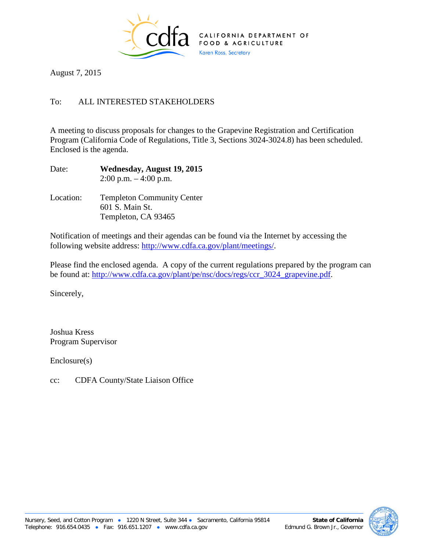

August 7, 2015

## To: ALL INTERESTED STAKEHOLDERS

A meeting to discuss proposals for changes to the Grapevine Registration and Certification Program (California Code of Regulations, Title 3, Sections 3024-3024.8) has been scheduled. Enclosed is the agenda.

Date: **Wednesday, August 19, 2015**  $2:00$  p.m.  $-4:00$  p.m.

Location: Templeton Community Center 601 S. Main St. Templeton, CA 93465

Notification of meetings and their agendas can be found via the Internet by accessing the following website address: [http://www.cdfa.ca.gov/plant/meetings/.](http://www.cdfa.ca.gov/plant/meetings/)

Please find the enclosed agenda. A copy of the current regulations prepared by the program can be found at: [http://www.cdfa.ca.gov/plant/pe/nsc/docs/regs/ccr\\_3024\\_grapevine.pdf.](http://www.cdfa.ca.gov/plant/pe/nsc/docs/regs/ccr_3024_grapevine.pdf)

Sincerely,

Joshua Kress Program Supervisor

Enclosure(s)

cc: CDFA County/State Liaison Office